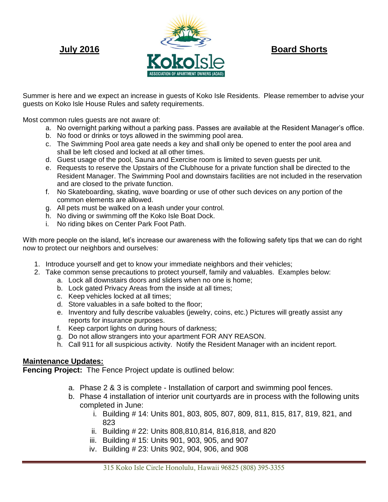

Summer is here and we expect an increase in guests of Koko Isle Residents. Please remember to advise your guests on Koko Isle House Rules and safety requirements.

Most common rules guests are not aware of:

- a. No overnight parking without a parking pass. Passes are available at the Resident Manager's office.
- b. No food or drinks or toys allowed in the swimming pool area.
- c. The Swimming Pool area gate needs a key and shall only be opened to enter the pool area and shall be left closed and locked at all other times.
- d. Guest usage of the pool, Sauna and Exercise room is limited to seven guests per unit.
- e. Requests to reserve the Upstairs of the Clubhouse for a private function shall be directed to the Resident Manager. The Swimming Pool and downstairs facilities are not included in the reservation and are closed to the private function.
- f. No Skateboarding, skating, wave boarding or use of other such devices on any portion of the common elements are allowed.
- g. All pets must be walked on a leash under your control.
- h. No diving or swimming off the Koko Isle Boat Dock.
- i. No riding bikes on Center Park Foot Path.

With more people on the island, let's increase our awareness with the following safety tips that we can do right now to protect our neighbors and ourselves:

- 1. Introduce yourself and get to know your immediate neighbors and their vehicles;
- 2. Take common sense precautions to protect yourself, family and valuables. Examples below:
	- a. Lock all downstairs doors and sliders when no one is home;
	- b. Lock gated Privacy Areas from the inside at all times;
	- c. Keep vehicles locked at all times;
	- d. Store valuables in a safe bolted to the floor;
	- e. Inventory and fully describe valuables (jewelry, coins, etc.) Pictures will greatly assist any reports for insurance purposes.
	- f. Keep carport lights on during hours of darkness;
	- g. Do not allow strangers into your apartment FOR ANY REASON.
	- h. Call 911 for all suspicious activity. Notify the Resident Manager with an incident report.

## **Maintenance Updates:**

**Fencing Project:** The Fence Project update is outlined below:

- a. Phase 2 & 3 is complete Installation of carport and swimming pool fences.
- b. Phase 4 installation of interior unit courtyards are in process with the following units completed in June:
	- i. Building # 14: Units 801, 803, 805, 807, 809, 811, 815, 817, 819, 821, and 823
	- ii. Building # 22: Units 808,810,814, 816,818, and 820
	- iii. Building # 15: Units 901, 903, 905, and 907
	- iv. Building # 23: Units 902, 904, 906, and 908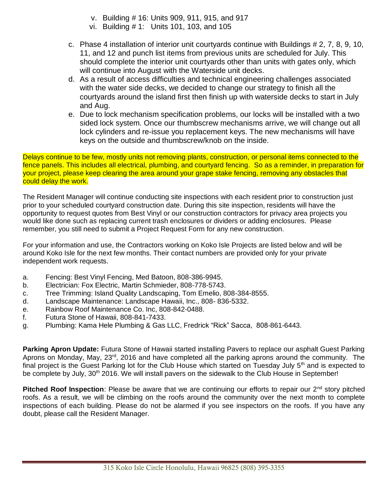- v. Building # 16: Units 909, 911, 915, and 917
- vi. Building # 1: Units 101, 103, and 105
- c. Phase 4 installation of interior unit courtyards continue with Buildings # 2, 7, 8, 9, 10, 11, and 12 and punch list items from previous units are scheduled for July. This should complete the interior unit courtyards other than units with gates only, which will continue into August with the Waterside unit decks.
- d. As a result of access difficulties and technical engineering challenges associated with the water side decks, we decided to change our strategy to finish all the courtyards around the island first then finish up with waterside decks to start in July and Aug.
- e. Due to lock mechanism specification problems, our locks will be installed with a two sided lock system. Once our thumbscrew mechanisms arrive, we will change out all lock cylinders and re-issue you replacement keys. The new mechanisms will have keys on the outside and thumbscrew/knob on the inside.

Delays continue to be few, mostly units not removing plants, construction, or personal items connected to the fence panels. This includes all electrical, plumbing, and courtyard fencing. So as a reminder, in preparation for your project, please keep clearing the area around your grape stake fencing, removing any obstacles that could delay the work.

The Resident Manager will continue conducting site inspections with each resident prior to construction just prior to your scheduled courtyard construction date. During this site inspection, residents will have the opportunity to request quotes from Best Vinyl or our construction contractors for privacy area projects you would like done such as replacing current trash enclosures or dividers or adding enclosures. Please remember, you still need to submit a Project Request Form for any new construction.

For your information and use, the Contractors working on Koko Isle Projects are listed below and will be around Koko Isle for the next few months. Their contact numbers are provided only for your private independent work requests.

- a. Fencing: Best Vinyl Fencing, Med Batoon, 808-386-9945.
- b. Electrician: Fox Electric, Martin Schmieder, 808-778-5743.
- c. Tree Trimming: Island Quality Landscaping, Tom Emelio, 808-384-8555.
- d. Landscape Maintenance: Landscape Hawaii, Inc., 808- 836-5332.
- e. Rainbow Roof Maintenance Co. Inc, 808-842-0488.
- f. Futura Stone of Hawaii, 808-841-7433.
- g. Plumbing: Kama Hele Plumbing & Gas LLC, Fredrick "Rick" Sacca, 808-861-6443.

**Parking Apron Update:** Futura Stone of Hawaii started installing Pavers to replace our asphalt Guest Parking Aprons on Monday, May, 23<sup>rd</sup>, 2016 and have completed all the parking aprons around the community. The final project is the Guest Parking lot for the Club House which started on Tuesday July 5<sup>th</sup> and is expected to be complete by July, 30<sup>th</sup> 2016. We will install pavers on the sidewalk to the Club House in September!

**Pitched Roof Inspection**: Please be aware that we are continuing our efforts to repair our 2<sup>nd</sup> story pitched roofs. As a result, we will be climbing on the roofs around the community over the next month to complete inspections of each building. Please do not be alarmed if you see inspectors on the roofs. If you have any doubt, please call the Resident Manager.